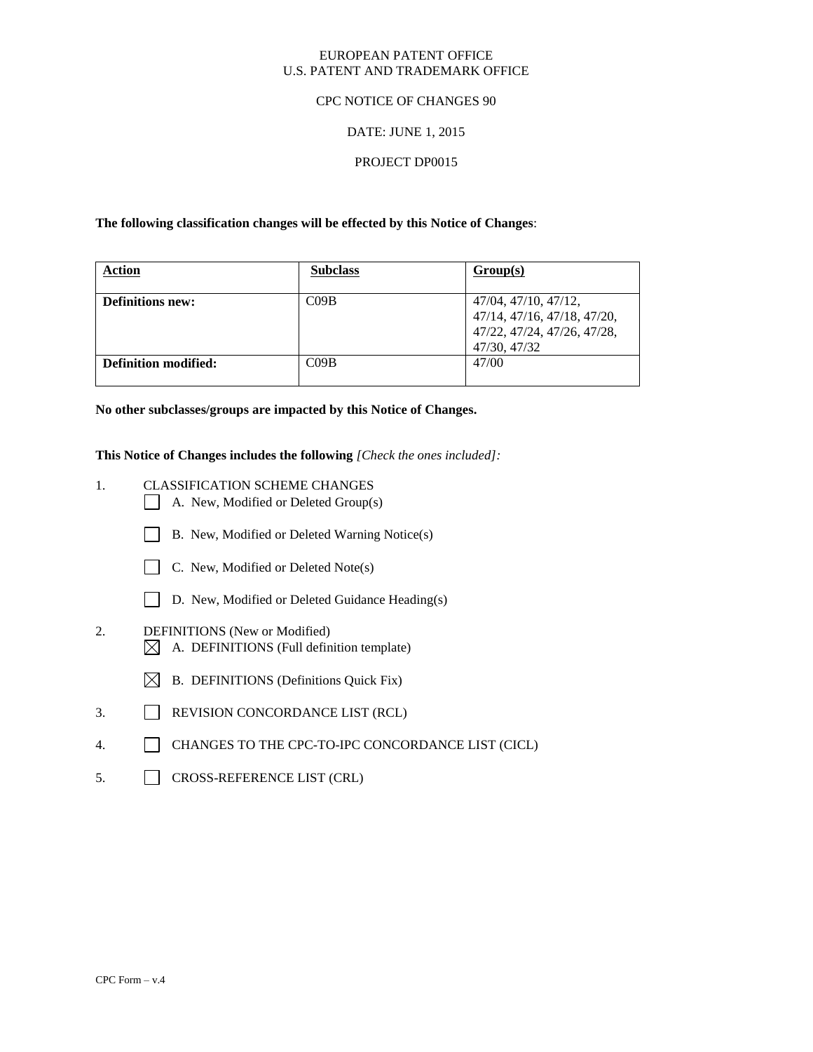### EUROPEAN PATENT OFFICE U.S. PATENT AND TRADEMARK OFFICE

### CPC NOTICE OF CHANGES 90

### DATE: JUNE 1, 2015

### PROJECT DP0015

**The following classification changes will be effected by this Notice of Changes**:

| <b>Action</b>               | <b>Subclass</b>  | Group(s)                                                                                           |
|-----------------------------|------------------|----------------------------------------------------------------------------------------------------|
| <b>Definitions new:</b>     | C <sub>09B</sub> | 47/04, 47/10, 47/12,<br>47/14, 47/16, 47/18, 47/20,<br>47/22, 47/24, 47/26, 47/28,<br>47/30, 47/32 |
| <b>Definition modified:</b> | C <sub>09B</sub> | 47/00                                                                                              |

**No other subclasses/groups are impacted by this Notice of Changes.**

**This Notice of Changes includes the following** *[Check the ones included]:*

- 1. CLASSIFICATION SCHEME CHANGES
	- A. New, Modified or Deleted Group(s)
	- B. New, Modified or Deleted Warning Notice(s)
	- $\Box$  C. New, Modified or Deleted Note(s)
	- D. New, Modified or Deleted Guidance Heading(s)
- 2. DEFINITIONS (New or Modified)  $\boxtimes$  A. DEFINITIONS (Full definition template)
	- $\boxtimes$  B. DEFINITIONS (Definitions Quick Fix)
- 3. REVISION CONCORDANCE LIST (RCL)
- 4. CHANGES TO THE CPC-TO-IPC CONCORDANCE LIST (CICL)
- 5. CROSS-REFERENCE LIST (CRL)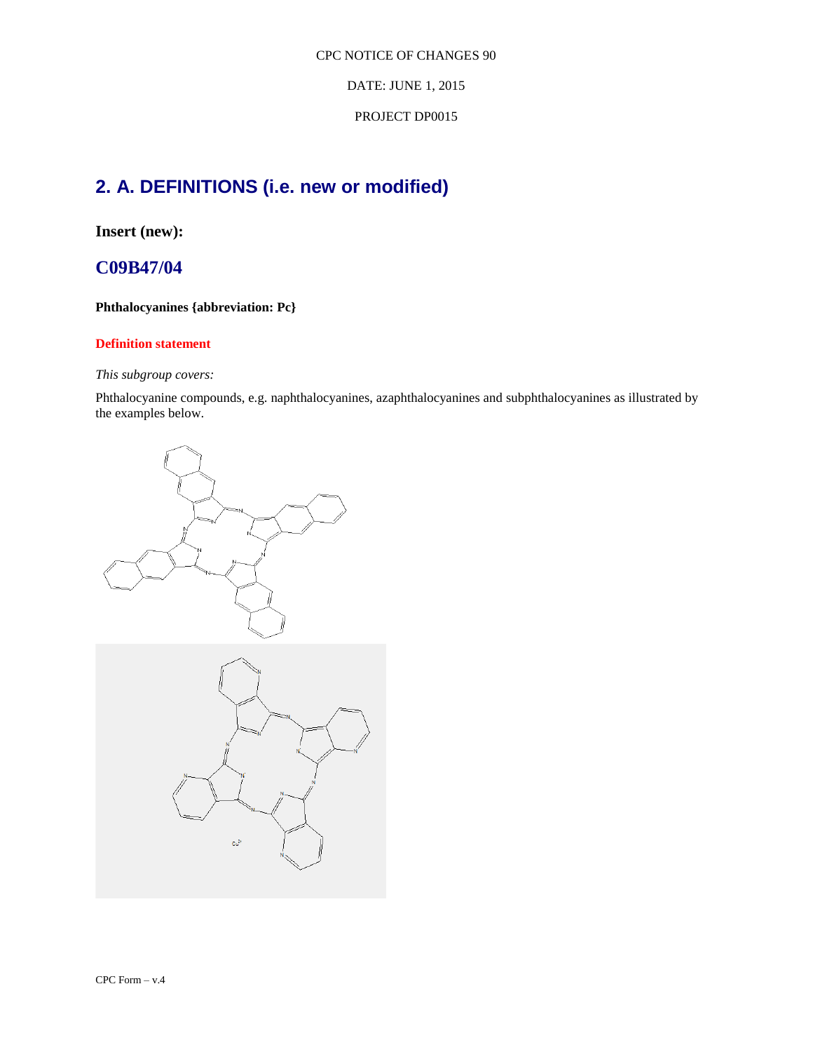DATE: JUNE 1, 2015

### PROJECT DP0015

# **2. A. DEFINITIONS (i.e. new or modified)**

**Insert (new):**

## **C09B47/04**

### **Phthalocyanines {abbreviation: Pc}**

### **Definition statement**

### *This subgroup covers:*

Phthalocyanine compounds, e.g. naphthalocyanines, azaphthalocyanines and subphthalocyanines as illustrated by the examples below.



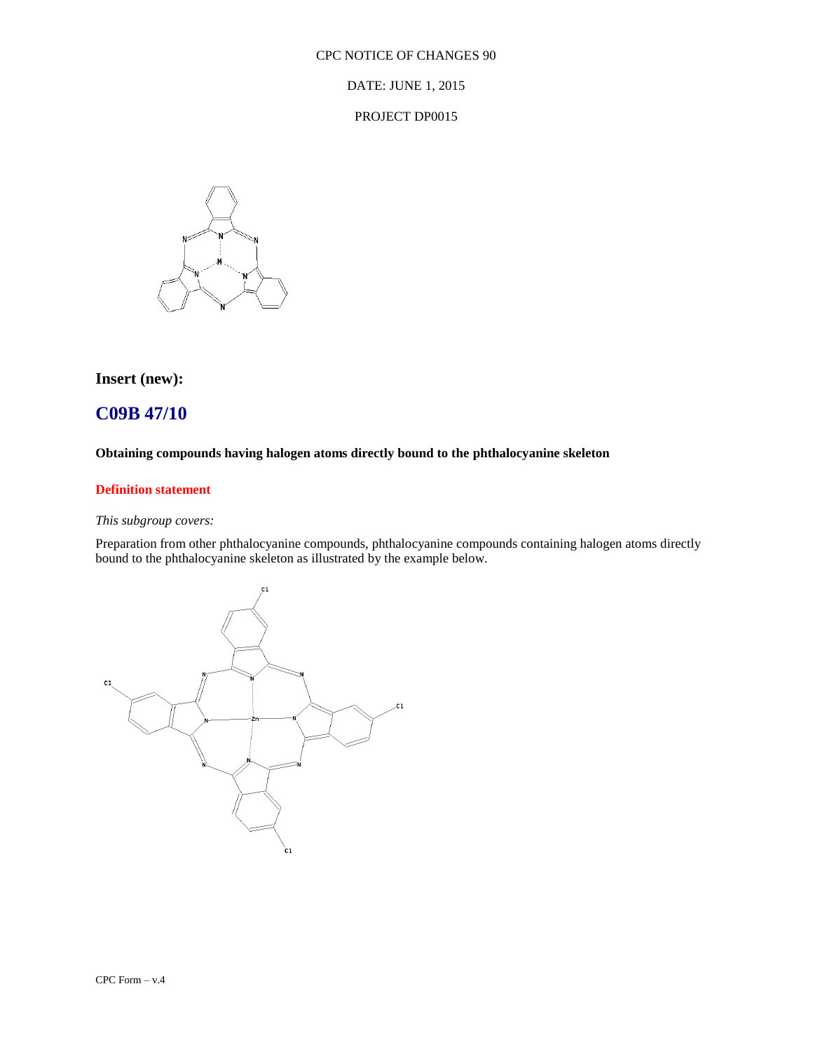DATE: JUNE 1, 2015

PROJECT DP0015



## **Insert (new):**

## **C09B 47/10**

### **Obtaining compounds having halogen atoms directly bound to the phthalocyanine skeleton**

### **Definition statement**

### *This subgroup covers:*

Preparation from other phthalocyanine compounds, phthalocyanine compounds containing halogen atoms directly bound to the phthalocyanine skeleton as illustrated by the example below.

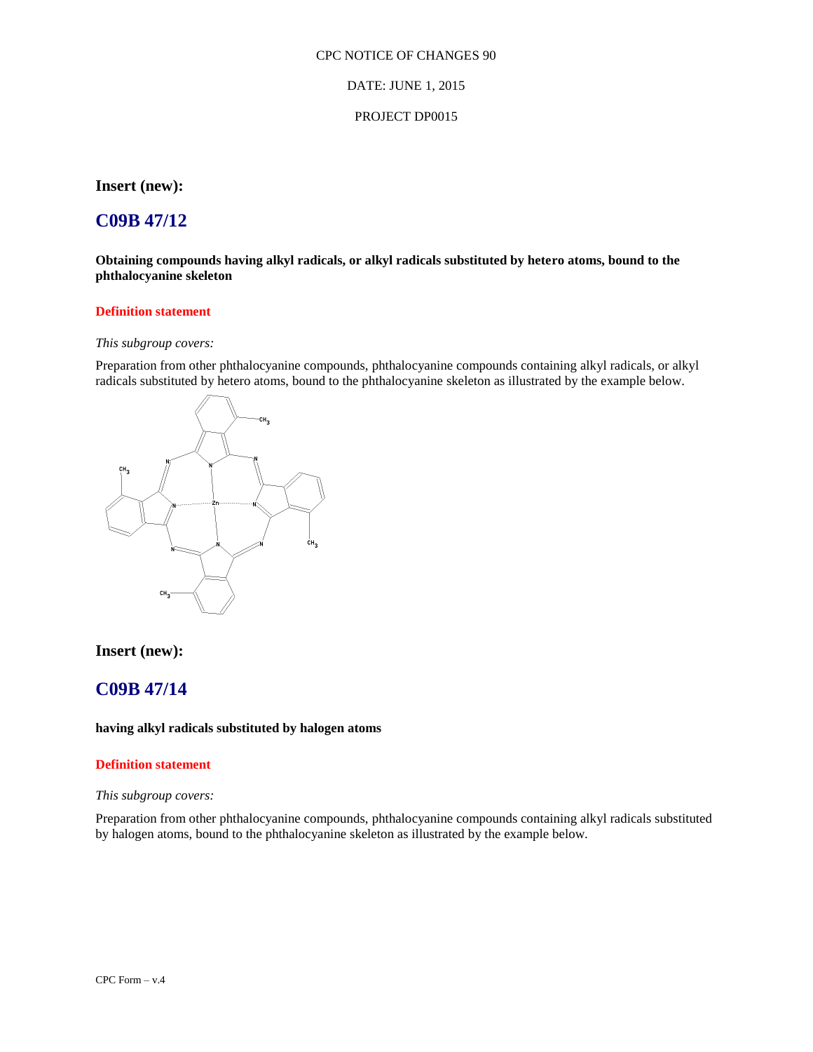#### DATE: JUNE 1, 2015

#### PROJECT DP0015

**Insert (new):**

## **C09B 47/12**

**Obtaining compounds having alkyl radicals, or alkyl radicals substituted by hetero atoms, bound to the phthalocyanine skeleton**

### **Definition statement**

#### *This subgroup covers:*

Preparation from other phthalocyanine compounds, phthalocyanine compounds containing alkyl radicals, or alkyl radicals substituted by hetero atoms, bound to the phthalocyanine skeleton as illustrated by the example below.



### **Insert (new):**

## **C09B 47/14**

#### **having alkyl radicals substituted by halogen atoms**

#### **Definition statement**

#### *This subgroup covers:*

Preparation from other phthalocyanine compounds, phthalocyanine compounds containing alkyl radicals substituted by halogen atoms, bound to the phthalocyanine skeleton as illustrated by the example below.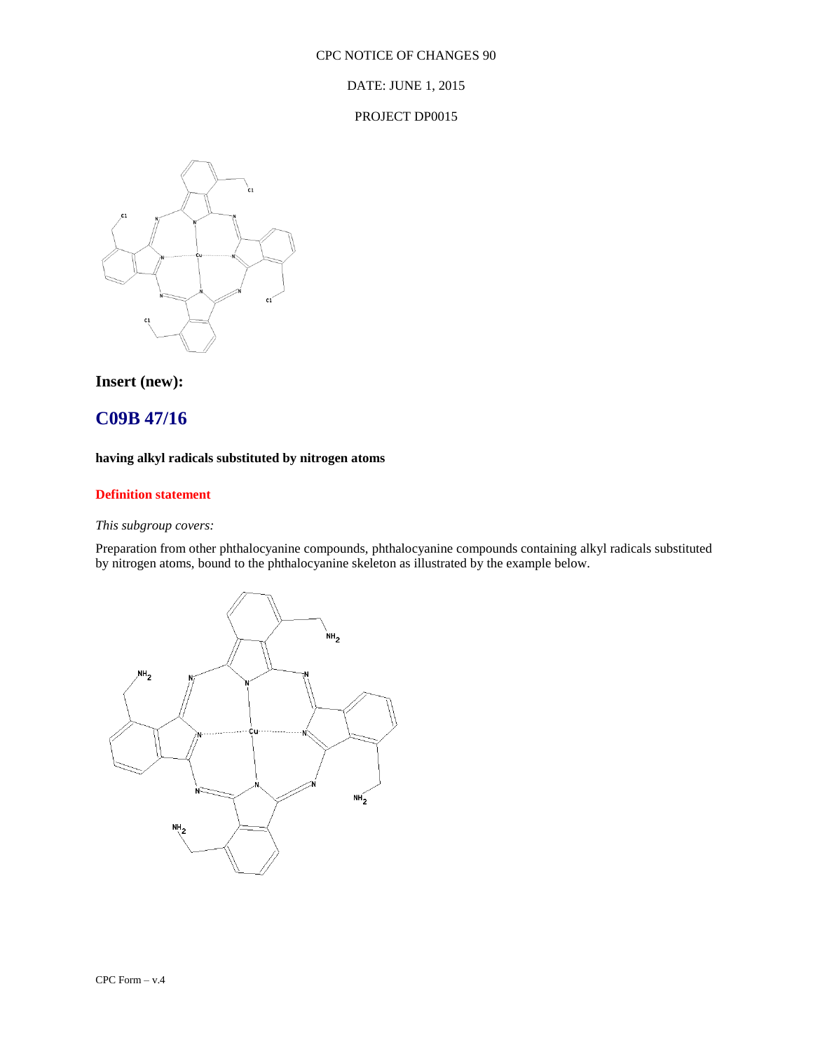DATE: JUNE 1, 2015

#### PROJECT DP0015



**Insert (new):**

## **C09B 47/16**

### **having alkyl radicals substituted by nitrogen atoms**

### **Definition statement**

### *This subgroup covers:*

Preparation from other phthalocyanine compounds, phthalocyanine compounds containing alkyl radicals substituted by nitrogen atoms, bound to the phthalocyanine skeleton as illustrated by the example below.

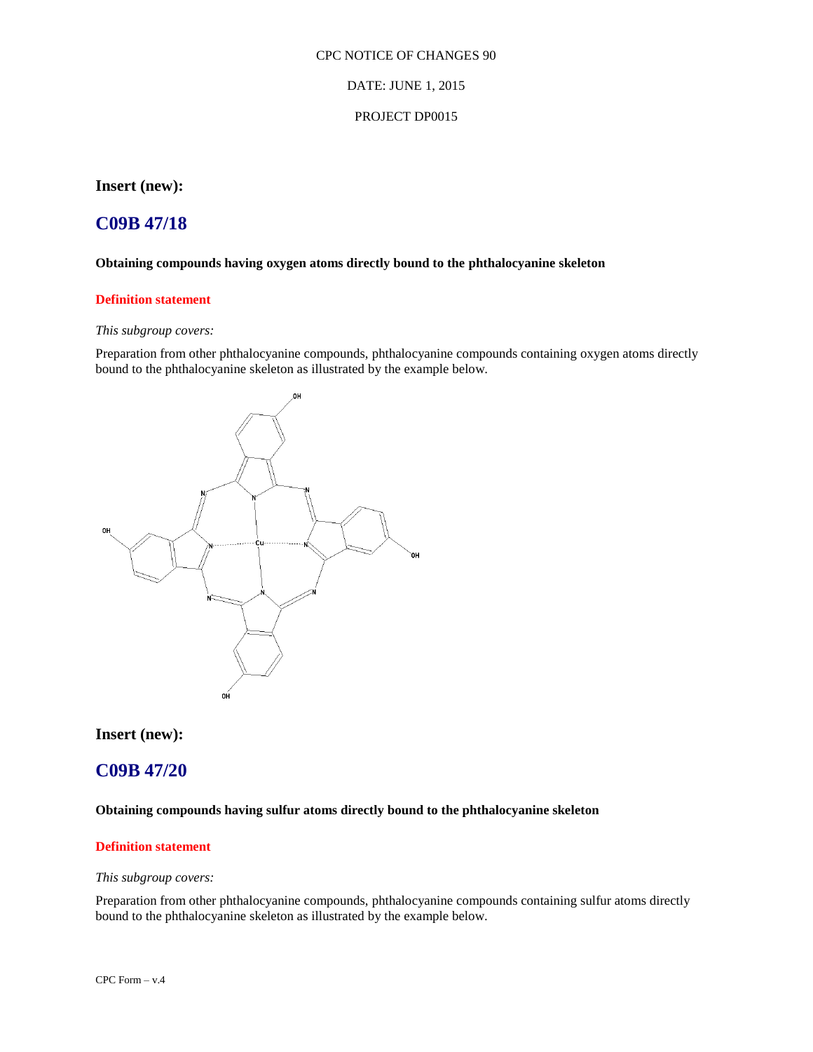#### DATE: JUNE 1, 2015

### PROJECT DP0015

**Insert (new):**

## **C09B 47/18**

#### **Obtaining compounds having oxygen atoms directly bound to the phthalocyanine skeleton**

### **Definition statement**

#### *This subgroup covers:*

Preparation from other phthalocyanine compounds, phthalocyanine compounds containing oxygen atoms directly bound to the phthalocyanine skeleton as illustrated by the example below.



### **Insert (new):**

### **C09B 47/20**

### **Obtaining compounds having sulfur atoms directly bound to the phthalocyanine skeleton**

#### **Definition statement**

#### *This subgroup covers:*

Preparation from other phthalocyanine compounds, phthalocyanine compounds containing sulfur atoms directly bound to the phthalocyanine skeleton as illustrated by the example below.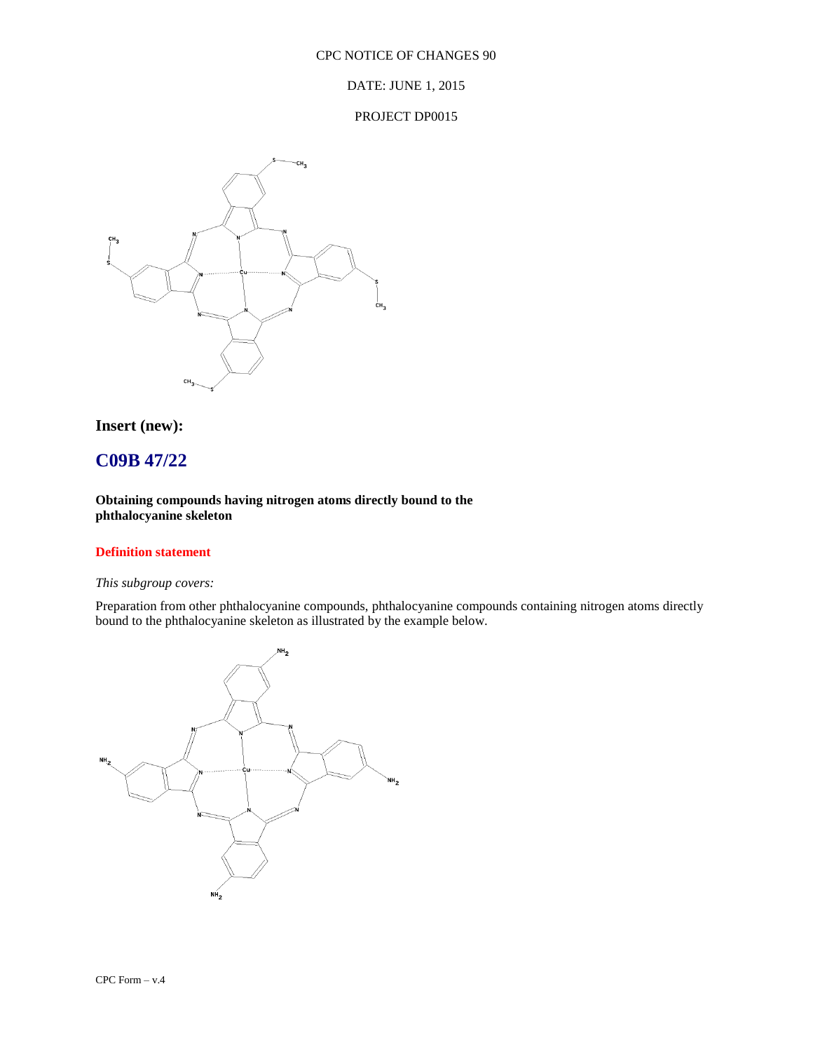### DATE: JUNE 1, 2015

#### PROJECT DP0015



### **Insert (new):**

## **C09B 47/22**

### **Obtaining compounds having nitrogen atoms directly bound to the phthalocyanine skeleton**

### **Definition statement**

### *This subgroup covers:*

Preparation from other phthalocyanine compounds, phthalocyanine compounds containing nitrogen atoms directly bound to the phthalocyanine skeleton as illustrated by the example below.

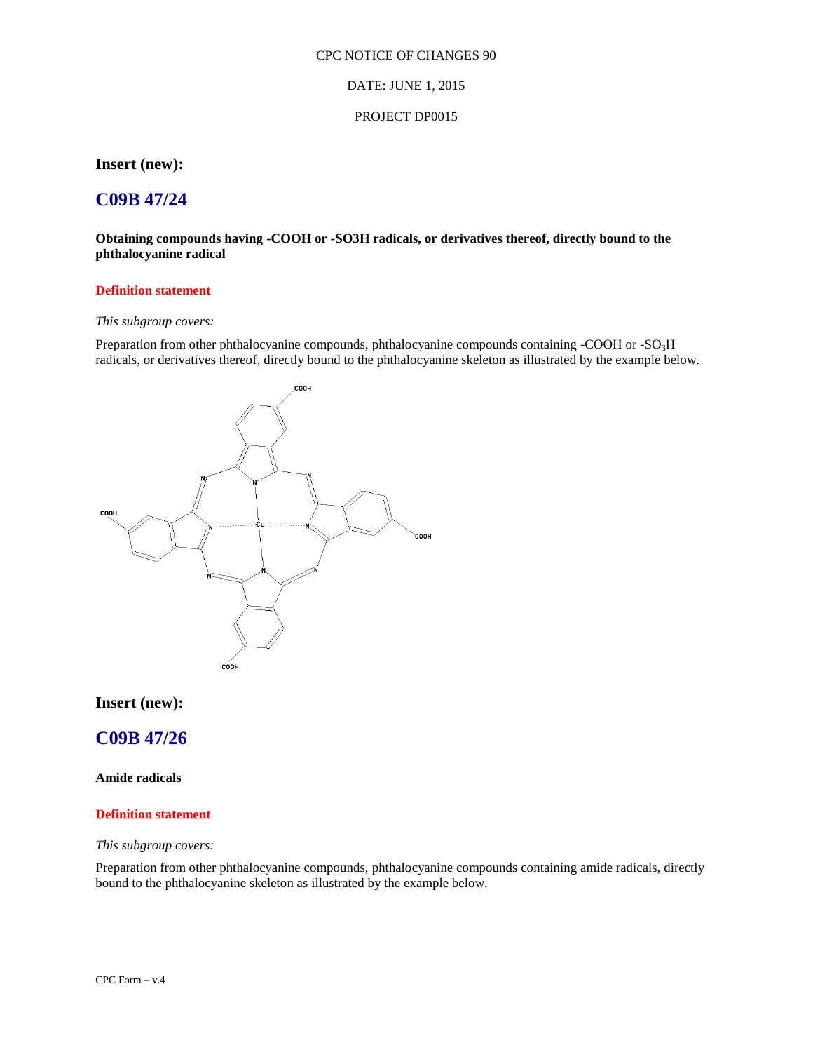#### DATE: JUNE 1, 2015

#### PROJECT DP0015

### **Insert (new):**

## **C09B 47/24**

**Obtaining compounds having -COOH or -SO3H radicals, or derivatives thereof, directly bound to the phthalocyanine radical**

#### **Definition statement**

### *This subgroup covers:*

Preparation from other phthalocyanine compounds, phthalocyanine compounds containing -COOH or -SO<sub>3</sub>H radicals, or derivatives thereof, directly bound to the phthalocyanine skeleton as illustrated by the example below.



### **Insert (new):**

### **C09B 47/26**

### **Amide radicals**

#### **Definition statement**

#### *This subgroup covers:*

Preparation from other phthalocyanine compounds, phthalocyanine compounds containing amide radicals, directly bound to the phthalocyanine skeleton as illustrated by the example below.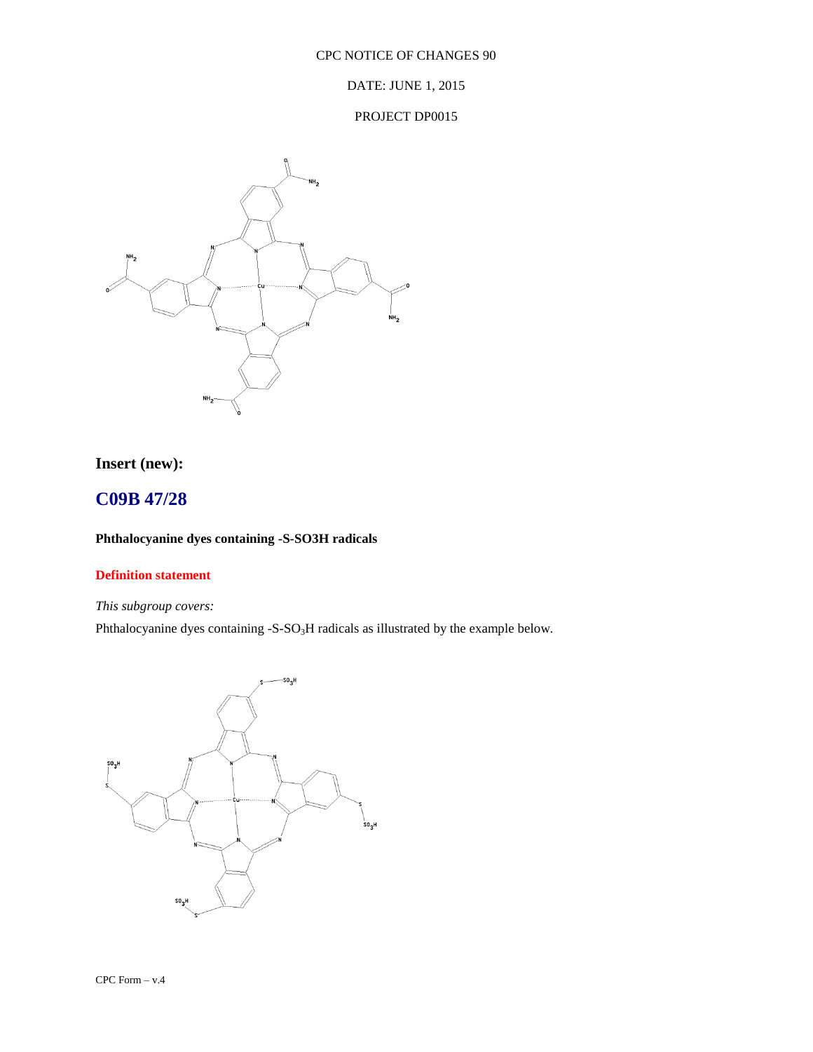DATE: JUNE 1, 2015

### PROJECT DP0015



## **Insert (new):**

## **C09B 47/28**

### **Phthalocyanine dyes containing -S-SO3H radicals**

### **Definition statement**

### *This subgroup covers:*

Phthalocyanine dyes containing -S-SO<sub>3</sub>H radicals as illustrated by the example below.

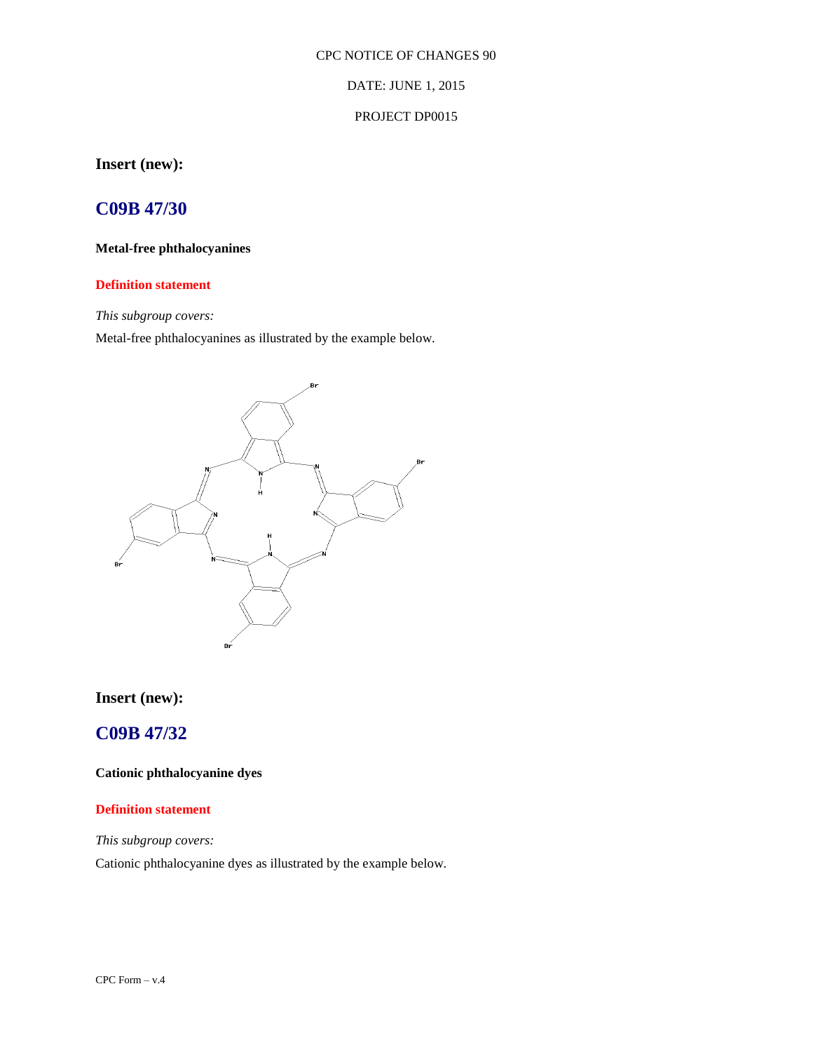### DATE: JUNE 1, 2015

#### PROJECT DP0015

## **Insert (new):**

## **C09B 47/30**

### **Metal-free phthalocyanines**

### **Definition statement**

### *This subgroup covers:*

Metal-free phthalocyanines as illustrated by the example below.



## **Insert (new):**

## **C09B 47/32**

**Cationic phthalocyanine dyes**

### **Definition statement**

*This subgroup covers:*

Cationic phthalocyanine dyes as illustrated by the example below.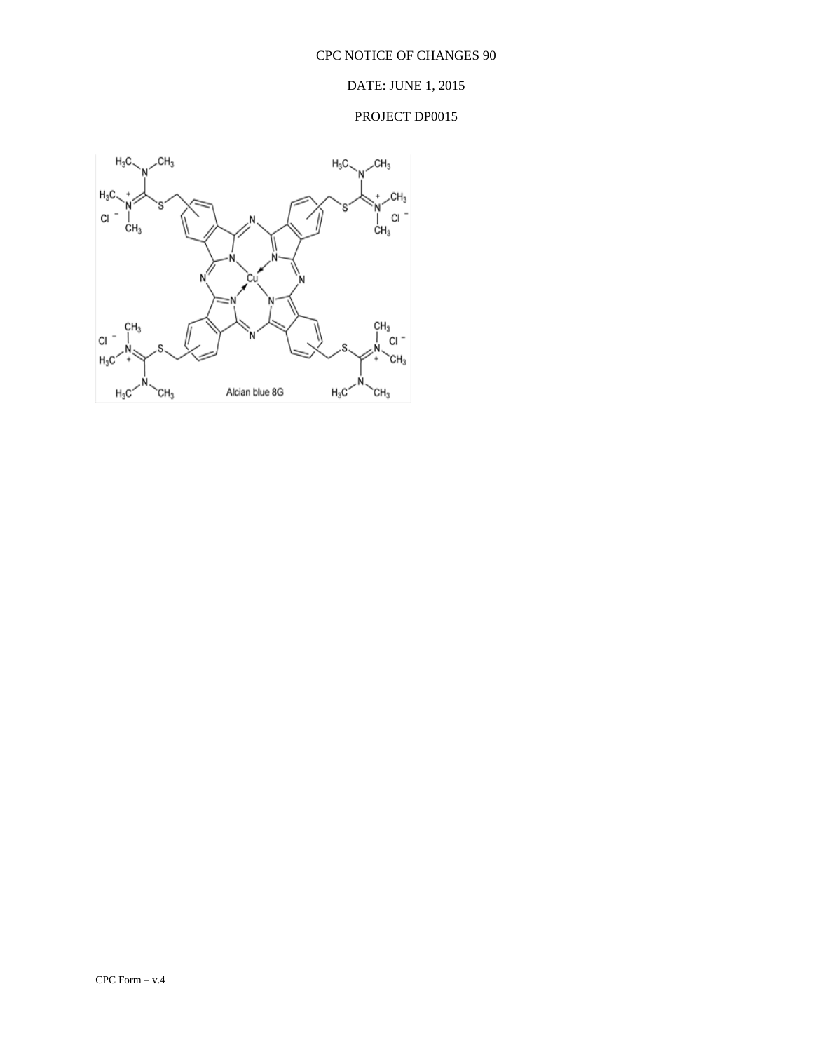### DATE: JUNE 1, 2015

## PROJECT DP0015